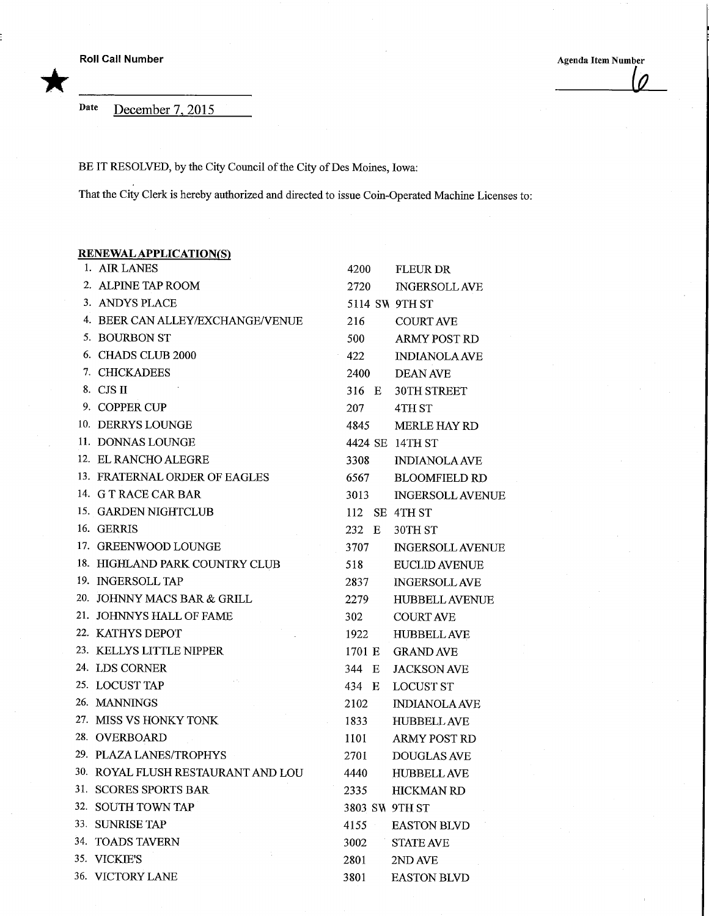\*

Date December 7. 2015

BE IT RESOLVED, by the City Council of the City of Des Moines, Iowa:

That the City Clerk is hereby authorized and directed to issue Coin-Operated Machine Licenses to:

## RENEWAL APPLICATION(S) 1. AIR LANES 2. ALPINE TAP ROOM 3. ANDYS PLACE 4. BEER CAN ALLEY/EXCHANGE/VENUE 5. BOURBONST 6. CHADS CLUB 2000 7. CHICKADEES 8. CJS II 9. COPPER CUP 10. DERRYS LOUNGE 11. DONNAS LOUNGE 12. ELRANCHOALEGRE 13. FRATERNAL ORDER OF EAGLES 14. G TRACE CAR BAR 15. GARDEN NIGHTCLUB 16. GERRIS 17. GREENWOOD LOUNGE 18. HIGHLAND PARK COUNTRY CLUB 19. INGERSOLLTAP 20. JOHNNY MACS BAR & GRILL 21. JOHNNYS HALL OF FAME 22. KATHYS DEPOT 23. KELLYS LITTLE NIPPER 24. LDS CORNER 25. LOCUST TAP 26. MANNINGS 27. MISS VS HONKY TONK 28. OVERBOARD 29. PLAZA LANES/TROPHYS 30. ROYAL FLUSH RESTAURANT AND LOU 31. SCORES SPORTS BAR 32. SOUTH TOWN TAP 33. SUNRISE TAP 34. TOADS TAVERN 35. VICKIE'S 36. VICTORY LANE 4200 2720 5114 SW 9TH ST 216 500 422 2400 316 E 207 4845 4424 SE 14TH ST 3308 6567 3013 112 SE 4THST 232 E 30TH ST 3707 518 2837 2279 302 1922 1701 E 344 E 434 E LOCUST ST 2102 1833 1101 2701 4440 2335 3803 SW 9TH ST 4155 3002 2801 3801 **FLEURDR** INGERSOLLAVE COURT AVE ARMY POST RD INDIANOLAAVE DEAN AVE 30TH STREET 4TH<sub>ST</sub> MERLE HAY RD INDIANOLAAVE BLOOMFIELD RD INGERSOLL AVENUE INGERSOLL AVENUE EUCLID AVENUE INGERSOLLAVE HUBBELL AVENUE COURTAVE HUBBELLAVE GRAND AVE JACKSON AVE INDIANOLAAVE HUBBELLAVE ARMY POST RD DOUGLAS AVE HUBBELLAVE HICKMAN RD **EASTON BLVD** STATE AVE 2NDAVE **EASTON BLVD**

Roll Call Number<br>
Agenda Item Number<br>
Agenda Item Number